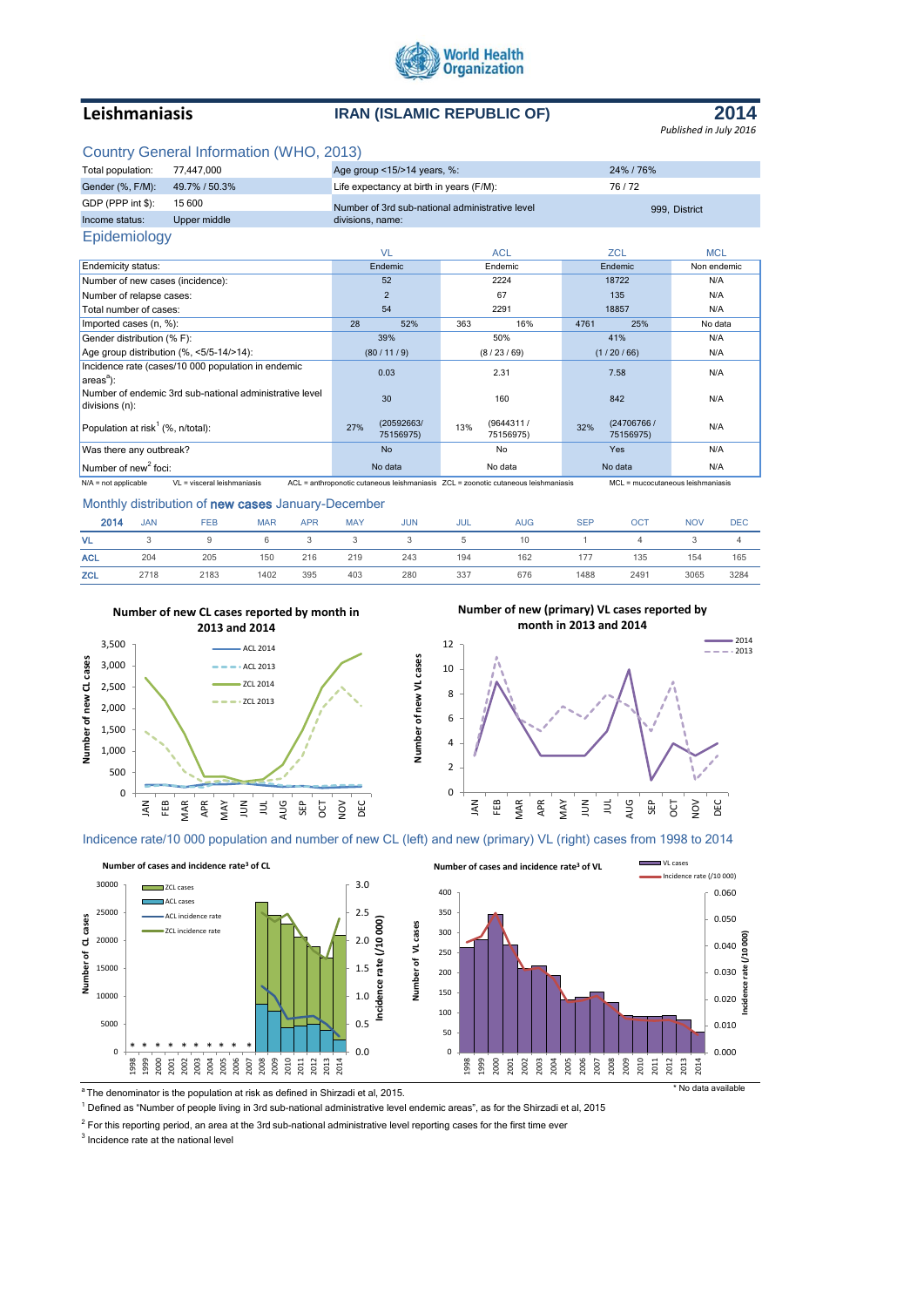

# **Leishmaniasis IRAN (ISLAMIC REPUBLIC OF)**



## Country General Information (WHO, 2013)

| Total population:                                                                                                                                                                 | 77,447,000                               | Age group <15/>>14 years, %:             |                                                 | 24% / 76%                      |             |  |  |  |
|-----------------------------------------------------------------------------------------------------------------------------------------------------------------------------------|------------------------------------------|------------------------------------------|-------------------------------------------------|--------------------------------|-------------|--|--|--|
| Gender (%, F/M):                                                                                                                                                                  | 49.7% / 50.3%                            | Life expectancy at birth in years (F/M): |                                                 | 76/72                          |             |  |  |  |
| GDP (PPP int \$):                                                                                                                                                                 | 15 600                                   |                                          | Number of 3rd sub-national administrative level | 999. District                  |             |  |  |  |
| Income status:                                                                                                                                                                    | Upper middle                             | divisions, name:                         |                                                 |                                |             |  |  |  |
| Epidemiology                                                                                                                                                                      |                                          |                                          |                                                 |                                |             |  |  |  |
|                                                                                                                                                                                   |                                          | <b>VL</b>                                | <b>ACL</b>                                      | <b>ZCL</b>                     | <b>MCL</b>  |  |  |  |
| <b>Endemicity status:</b>                                                                                                                                                         |                                          | Endemic                                  | Endemic                                         | Endemic                        | Non endemic |  |  |  |
| Number of new cases (incidence):                                                                                                                                                  |                                          | 52                                       | 2224                                            | 18722                          | N/A         |  |  |  |
| Number of relapse cases:                                                                                                                                                          |                                          | 2                                        | 67                                              | 135                            | N/A         |  |  |  |
| Total number of cases:                                                                                                                                                            |                                          | 54                                       | 2291                                            | 18857                          | N/A         |  |  |  |
| Imported cases (n, %):                                                                                                                                                            |                                          | 28<br>52%                                | 363<br>16%                                      | 4761<br>25%                    | No data     |  |  |  |
| Gender distribution (% F):                                                                                                                                                        |                                          | 39%                                      | 50%                                             | 41%                            | N/A         |  |  |  |
|                                                                                                                                                                                   | Age group distribution (%, <5/5-14/>14): | (80/11/9)                                | (8/23/69)                                       | (1/20/66)                      | N/A         |  |  |  |
| Incidence rate (cases/10 000 population in endemic<br>$areaa$ ):                                                                                                                  |                                          | 0.03                                     | 2.31                                            | 7.58                           | N/A         |  |  |  |
| Number of endemic 3rd sub-national administrative level<br>divisions (n):                                                                                                         |                                          | 30                                       | 160                                             | 842                            | N/A         |  |  |  |
| Population at risk <sup>1</sup> (%, n/total):                                                                                                                                     |                                          | (20592663/<br>27%<br>75156975)           | (9644311/<br>13%<br>75156975)                   | (24706766/<br>32%<br>75156975) | N/A         |  |  |  |
| Was there any outbreak?                                                                                                                                                           |                                          | <b>No</b>                                | <b>No</b>                                       | Yes                            | N/A         |  |  |  |
| Number of new <sup>2</sup> foci:                                                                                                                                                  |                                          | No data                                  | No data                                         | No data                        | N/A         |  |  |  |
| VL = visceral leishmaniasis<br>ACL = anthroponotic cutaneous leishmaniasis  ZCL = zoonotic cutaneous leishmaniasis<br>$N/A$ = not applicable<br>MCL = mucocutaneous leishmaniasis |                                          |                                          |                                                 |                                |             |  |  |  |

#### Monthly distribution of new cases January-December

| 2014       | <b>JAN</b> | <b>FEB</b> | <b>MAR</b>        | <b>APR</b> | <b>MAY</b> | <b>JUN</b> | JUL | AUG. | <b>SEP</b> | <b>OCT</b> | <b>NOV</b> | <b>DEC</b>     |
|------------|------------|------------|-------------------|------------|------------|------------|-----|------|------------|------------|------------|----------------|
| <b>VL</b>  |            | 9          | $6 \quad \bullet$ | $\sim$ 3   | 3          | 3          | 5   | 10   |            | 4          |            | $\overline{a}$ |
| <b>ACL</b> | 204        | 205        | 150               | 216        | 219        | 243        | 194 | 162  | 177        | 135        | 154        | 165            |
| <b>ZCL</b> | 2718       | 2183       | 1402              | 395        | 403        | 280        | 337 | 676  | 1488       | 2491       | 3065       | 3284           |

**Number of new VL cases**

Number of new VL cases



APR MAY

E S AUG

ន<br>ន

NOV DEC

**Number of new (primary) VL cases reported by month in 2013 and 2014**



## Indicence rate/10 000 population and number of new CL (left) and new (primary) VL (right) cases from 1998 to 2014



<sup>1</sup> Defined as "Number of people living in 3rd sub-national administrative level endemic areas", as for the Shirzadi et al, 2015

 $2$  For this reporting period, an area at the 3rd sub-national administrative level reporting cases for the first time ever

<sup>3</sup> Incidence rate at the national level

JAN FEB MAR